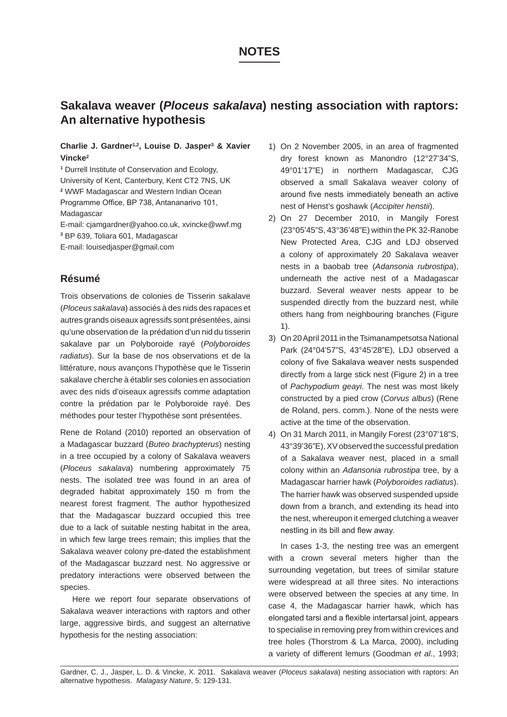# **NOTES**

# **Sakalava weaver (***Ploceus sakalava***) nesting association with raptors: An alternative hypothesis**

### **Charlie J. Gardner1,2, Louise D. Jasper3 & Xavier Vincke2**

**<sup>1</sup>** Durrell Institute of Conservation and Ecology, University of Kent, Canterbury, Kent CT2 7NS, UK **<sup>2</sup>** WWF Madagascar and Western Indian Ocean Programme Office, BP 738, Antananarivo 101, Madagascar

E-mail: cjamgardner@yahoo.co.uk, xvincke@wwf.mg **<sup>3</sup>** BP 639, Toliara 601, Madagascar

E-mail: louisedjasper@gmail.com

## **Résumé**

Trois observations de colonies de Tisserin sakalave (*Ploceus sakalava*) associés à des nids des rapaces et autres grands oiseaux agressifs sont présentées, ainsi qu'une observation de la prédation d'un nid du tisserin sakalave par un Polyboroide rayé (*Polyboroides radiatus*). Sur la base de nos observations et de la littérature, nous avançons l'hypothèse que le Tisserin sakalave cherche à établir ses colonies en association avec des nids d'oiseaux agressifs comme adaptation contre la prédation par le Polyboroide rayé. Des méthodes pour tester l'hypothèse sont présentées.

Rene de Roland (2010) reported an observation of a Madagascar buzzard (*Buteo brachypterus*) nesting in a tree occupied by a colony of Sakalava weavers (*Ploceus sakalava*) numbering approximately 75 nests. The isolated tree was found in an area of degraded habitat approximately 150 m from the nearest forest fragment. The author hypothesized that the Madagascar buzzard occupied this tree due to a lack of suitable nesting habitat in the area, in which few large trees remain; this implies that the Sakalava weaver colony pre-dated the establishment of the Madagascar buzzard nest. No aggressive or predatory interactions were observed between the species.

Here we report four separate observations of Sakalava weaver interactions with raptors and other large, aggressive birds, and suggest an alternative hypothesis for the nesting association:

- 1) On 2 November 2005, in an area of fragmented dry forest known as Manondro (12°27'34"S, 49°01'17"E) in northern Madagascar, CJG observed a small Sakalava weaver colony of around five nests immediately beneath an active nest of Henst's goshawk (*Accipiter henstii*).
- 2) On 27 December 2010, in Mangily Forest (23°05'45"S, 43°36'48"E) within the PK 32-Ranobe New Protected Area, CJG and LDJ observed a colony of approximately 20 Sakalava weaver nests in a baobab tree (*Adansonia rubrostipa*), underneath the active nest of a Madagascar buzzard. Several weaver nests appear to be suspended directly from the buzzard nest, while others hang from neighbouring branches (Figure 1).
- 3) On 20 April 2011 in the Tsimanampetsotsa National Park (24°04'57"S, 43°45'28"E), LDJ observed a colony of five Sakalava weaver nests suspended directly from a large stick nest (Figure 2) in a tree of *Pachypodium geayi*. The nest was most likely constructed by a pied crow (*Corvus albus*) (Rene de Roland, pers. comm.). None of the nests were active at the time of the observation.
- 4) On 31 March 2011, in Mangily Forest (23°07'18"S, 43°39'36"E), XV observed the successful predation of a Sakalava weaver nest, placed in a small colony within an *Adansonia rubrostipa* tree, by a Madagascar harrier hawk (*Polyboroides radiatus*). The harrier hawk was observed suspended upside down from a branch, and extending its head into the nest, whereupon it emerged clutching a weaver nestling in its bill and flew away.

In cases 1-3, the nesting tree was an emergent with a crown several meters higher than the surrounding vegetation, but trees of similar stature were widespread at all three sites. No interactions were observed between the species at any time. In case 4, the Madagascar harrier hawk, which has elongated tarsi and a flexible intertarsal joint, appears to specialise in removing prey from within crevices and tree holes (Thorstrom & La Marca, 2000), including a variety of different lemurs (Goodman *et al*., 1993;

Gardner, C. J., Jasper, L. D. & Vincke, X. 2011. Sakalava weaver (*Ploceus sakalava*) nesting association with raptors: An alternative hypothesis. *Malagasy Nature*, 5: 129-131.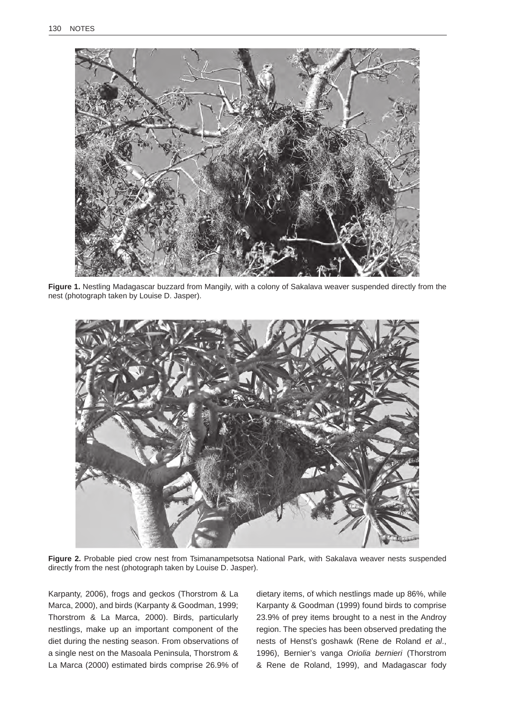

Figure 1. Nestling Madagascar buzzard from Mangily, with a colony of Sakalava weaver suspended directly from the nest (photograph taken by Louise D. Jasper).



**Figure 2.** Probable pied crow nest from Tsimanampetsotsa National Park, with Sakalava weaver nests suspended directly from the nest (photograph taken by Louise D. Jasper).

Karpanty, 2006), frogs and geckos (Thorstrom & La Marca, 2000), and birds (Karpanty & Goodman, 1999; Thorstrom & La Marca, 2000). Birds, particularly nestlings, make up an important component of the diet during the nesting season. From observations of a single nest on the Masoala Peninsula, Thorstrom & La Marca (2000) estimated birds comprise 26.9% of dietary items, of which nestlings made up 86%, while Karpanty & Goodman (1999) found birds to comprise 23.9% of prey items brought to a nest in the Androy region. The species has been observed predating the nests of Henst's goshawk (Rene de Roland *et al*., 1996), Bernier's vanga *Oriolia bernieri* (Thorstrom & Rene de Roland, 1999), and Madagascar fody